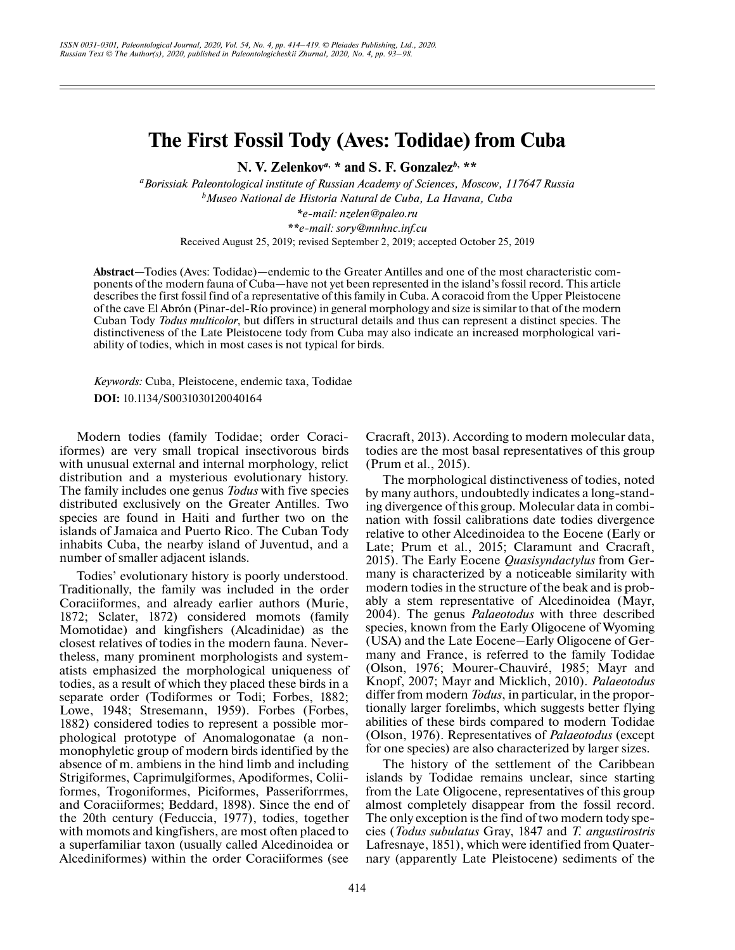# **The First Fossil Tody (Aves: Todidae) from Cuba**

**N. V. Zelenkov***a***, \* and S. F. Gonzalez***b***, \*\***

*a Borissiak Paleontological institute of Russian Academy of Sciences, Moscow, 117647 Russia b Museo National de Historia Natural de Cuba, La Havana, Cuba \*e-mail: nzelen@paleo.ru \*\*e-mail: sory@mnhnc.inf.cu*

Received August 25, 2019; revised September 2, 2019; accepted October 25, 2019

**Abstract**—Todies (Aves: Todidae)—endemic to the Greater Antilles and one of the most characteristic components of the modern fauna of Cuba—have not yet been represented in the island's fossil record. This article describes the first fossil find of a representative of this family in Cuba. A coracoid from the Upper Pleistocene of the cave El Abrón (Pinar-del-Río province) in general morphology and size is similar to that of the modern Cuban Tody *Todus multicolor*, but differs in structural details and thus can represent a distinct species. The distinctiveness of the Late Pleistocene tody from Cuba may also indicate an increased morphological variability of todies, which in most cases is not typical for birds.

*Keywords:* Cuba, Pleistocene, endemic taxa, Todidae **DOI:** 10.1134/S0031030120040164

Modern todies (family Todidae; order Coraciiformes) are very small tropical insectivorous birds with unusual external and internal morphology, relict distribution and a mysterious evolutionary history. The family includes one genus *Todus* with five species distributed exclusively on the Greater Antilles. Two species are found in Haiti and further two on the islands of Jamaica and Puerto Rico. The Cuban Tody inhabits Cuba, the nearby island of Juventud, and a number of smaller adjacent islands.

Todies' evolutionary history is poorly understood. Traditionally, the family was included in the order Coraciiformes, and already earlier authors (Murie, 1872; Sclater, 1872) considered momots (family Momotidae) and kingfishers (Alcadinidae) as the closest relatives of todies in the modern fauna. Nevertheless, many prominent morphologists and systematists emphasized the morphological uniqueness of todies, as a result of which they placed these birds in a separate order (Todiformes or Todi; Forbes, 1882; Lowe, 1948; Stresemann, 1959). Forbes (Forbes, 1882) considered todies to represent a possible morphological prototype of Anomalogonatae (a nonmonophyletic group of modern birds identified by the absence of m. ambiens in the hind limb and including Strigiformes, Caprimulgiformes, Apodiformes, Coliiformes, Trogoniformes, Piciformes, Passeriforrmes, and Coraciiformes; Beddard, 1898). Since the end of the 20th century (Feduccia, 1977), todies, together with momots and kingfishers, are most often placed to a superfamiliar taxon (usually called Alcedinoidea or Alcediniformes) within the order Coraciiformes (see

Cracraft, 2013). According to modern molecular data, todies are the most basal representatives of this group (Prum et al., 2015).

The morphological distinctiveness of todies, noted by many authors, undoubtedly indicates a long-standing divergence of this group. Molecular data in combination with fossil calibrations date todies divergence relative to other Alcedinoidea to the Eocene (Early or Late; Prum et al., 2015; Claramunt and Cracraft, 2015). The Early Eocene *Quasisyndactylus* from Germany is characterized by a noticeable similarity with modern todies in the structure of the beak and is probably a stem representative of Alcedinoidea (Mayr, 2004). The genus *Palaeotodus* with three described species, known from the Early Oligocene of Wyoming (USA) and the Late Eocene–Early Oligocene of Germany and France, is referred to the family Todidae (Olson, 1976; Mourer-Chauviré, 1985; Mayr and Knopf, 2007; Mayr and Micklich, 2010). *Palaeotodus* differ from modern *Todus*, in particular, in the proportionally larger forelimbs, which suggests better flying abilities of these birds compared to modern Todidae (Olson, 1976). Representatives of *Palaeotodus* (except for one species) are also characterized by larger sizes.

The history of the settlement of the Caribbean islands by Todidae remains unclear, since starting from the Late Oligocene, representatives of this group almost completely disappear from the fossil record. The only exception is the find of two modern tody species (*Todus subulatus* Gray, 1847 and *T. angustirostris* Lafresnaye, 1851), which were identified from Quaternary (apparently Late Pleistocene) sediments of the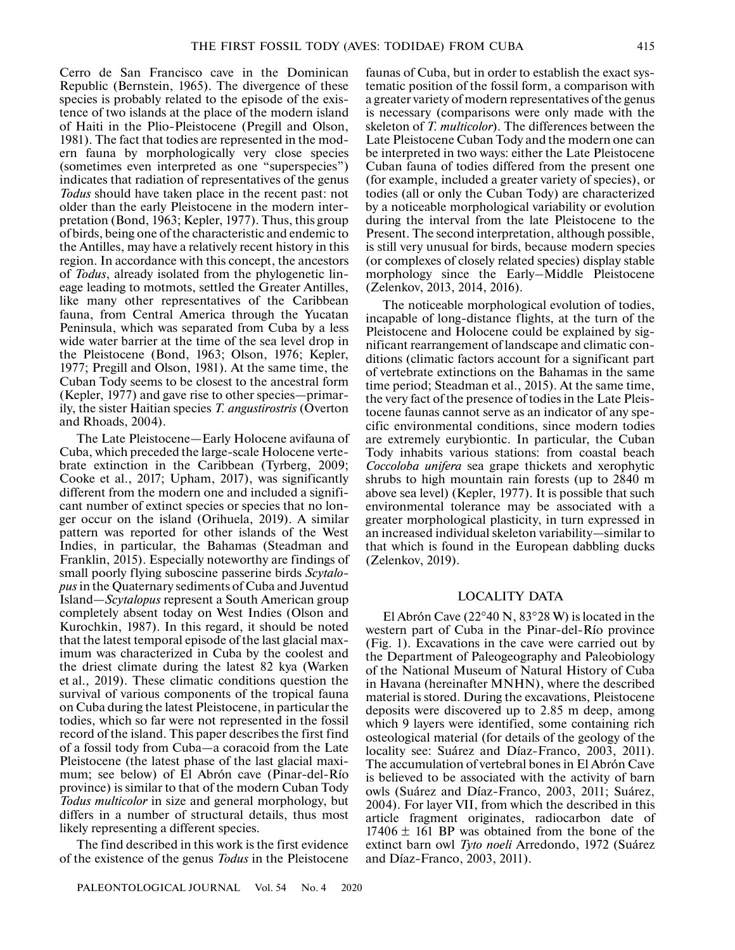Cerro de San Francisco cave in the Dominican Republic (Bernstein, 1965). The divergence of these species is probably related to the episode of the existence of two islands at the place of the modern island of Haiti in the Plio-Pleistocene (Pregill and Olson, 1981). The fact that todies are represented in the modern fauna by morphologically very close species (sometimes even interpreted as one "superspecies") indicates that radiation of representatives of the genus *Todus* should have taken place in the recent past: not older than the early Pleistocene in the modern interpretation (Bond, 1963; Kepler, 1977). Thus, this group of birds, being one of the characteristic and endemic to the Antilles, may have a relatively recent history in this region. In accordance with this concept, the ancestors of *Todus*, already isolated from the phylogenetic lineage leading to motmots, settled the Greater Antilles, like many other representatives of the Caribbean fauna, from Central America through the Yucatan Peninsula, which was separated from Cuba by a less wide water barrier at the time of the sea level drop in the Pleistocene (Bond, 1963; Olson, 1976; Kepler, 1977; Pregill and Olson, 1981). At the same time, the Cuban Tody seems to be closest to the ancestral form (Kepler, 1977) and gave rise to other species—primarily, the sister Haitian species *T. angustirostris* (Overton and Rhoads, 2004).

The Late Pleistocene—Early Holocene avifauna of Cuba, which preceded the large-scale Holocene vertebrate extinction in the Caribbean (Tyrberg, 2009; Cooke et al., 2017; Upham, 2017), was significantly different from the modern one and included a significant number of extinct species or species that no longer occur on the island (Orihuela, 2019). A similar pattern was reported for other islands of the West Indies, in particular, the Bahamas (Steadman and Franklin, 2015). Especially noteworthy are findings of small poorly flying suboscine passerine birds *Scytalopus* in the Quaternary sediments of Cuba and Juventud Island—*Scytalopus* represent a South American group completely absent today on West Indies (Olson and Kurochkin, 1987). In this regard, it should be noted that the latest temporal episode of the last glacial maximum was characterized in Cuba by the coolest and the driest climate during the latest 82 kya (Warken et al., 2019). These climatic conditions question the survival of various components of the tropical fauna on Cuba during the latest Pleistocene, in particular the todies, which so far were not represented in the fossil record of the island. This paper describes the first find of a fossil tody from Cuba—a coracoid from the Late Pleistocene (the latest phase of the last glacial maximum; see below) of El Abrón cave (Pinar-del-Río province) is similar to that of the modern Cuban Tody *Todus multicolor* in size and general morphology, but differs in a number of structural details, thus most likely representing a different species.

The find described in this work is the first evidence of the existence of the genus *Todus* in the Pleistocene

faunas of Cuba, but in order to establish the exact systematic position of the fossil form, a comparison with a greater variety of modern representatives of the genus is necessary (comparisons were only made with the skeleton of *T. multicolor*). The differences between the Late Pleistocene Cuban Tody and the modern one can be interpreted in two ways: either the Late Pleistocene Cuban fauna of todies differed from the present one (for example, included a greater variety of species), or todies (all or only the Cuban Tody) are characterized by a noticeable morphological variability or evolution during the interval from the late Pleistocene to the Present. The second interpretation, although possible, is still very unusual for birds, because modern species (or complexes of closely related species) display stable morphology since the Early–Middle Pleistocene (Zelenkov, 2013, 2014, 2016).

The noticeable morphological evolution of todies, incapable of long-distance flights, at the turn of the Pleistocene and Holocene could be explained by significant rearrangement of landscape and climatic conditions (climatic factors account for a significant part of vertebrate extinctions on the Bahamas in the same time period; Steadman et al., 2015). At the same time, the very fact of the presence of todies in the Late Pleistocene faunas cannot serve as an indicator of any specific environmental conditions, since modern todies are extremely eurybiontic. In particular, the Cuban Tody inhabits various stations: from coastal beach *Coccoloba unifera* sea grape thickets and xerophytic shrubs to high mountain rain forests (up to 2840 m above sea level) (Kepler, 1977). It is possible that such environmental tolerance may be associated with a greater morphological plasticity, in turn expressed in an increased individual skeleton variability—similar to that which is found in the European dabbling ducks (Zelenkov, 2019).

## LOCALITY DATA

El Abrón Cave (22°40 N, 83°28 W) is located in the western part of Cuba in the Pinar-del-Río province (Fig. 1). Excavations in the cave were carried out by the Department of Paleogeography and Paleobiology of the National Museum of Natural History of Cuba in Havana (hereinafter MNHN), where the described material is stored. During the excavations, Pleistocene deposits were discovered up to 2.85 m deep, among which 9 layers were identified, some containing rich osteological material (for details of the geology of the locality see: Suárez and Díaz-Franco, 2003, 2011). The accumulation of vertebral bones in El Abrón Cave is believed to be associated with the activity of barn owls (Suárez and Díaz-Franco, 2003, 2011; Suárez, 2004). For layer VII, from which the described in this article fragment originates, radiocarbon date of  $17406 \pm 161$  BP was obtained from the bone of the extinct barn owl *Tyto noeli* Arredondo, 1972 (Suárez and Díaz-Franco, 2003, 2011).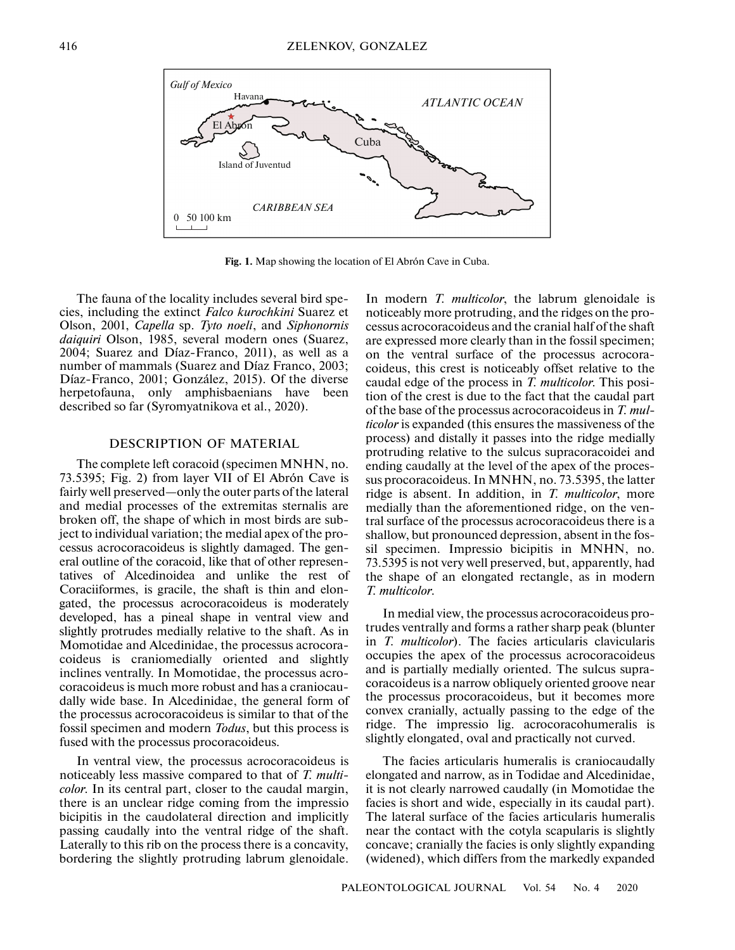

**Fig. 1.** Map showing the location of El Abrón Cave in Cuba.

The fauna of the locality includes several bird species, including the extinct *Falco kurochkini* Suarez et Olson, 2001, *Capella* sp. *Tyto noeli*, and *Siphonornis daiquiri* Olson, 1985, several modern ones (Suarez, 2004; Suarez and Díaz-Franco, 2011), as well as a number of mammals (Suarez and Díaz Franco, 2003; Díaz-Franco, 2001; González, 2015). Of the diverse herpetofauna, only amphisbaenians have been described so far (Syromyatnikova et al., 2020).

#### DESCRIPTION OF MATERIAL

The complete left coracoid (specimen MNHN, no. 73.5395; Fig. 2) from layer VII of El Abrón Cave is fairly well preserved—only the outer parts of the lateral and medial processes of the extremitas sternalis are broken off, the shape of which in most birds are subject to individual variation; the medial apex of the processus acrocoracoideus is slightly damaged. The general outline of the coracoid, like that of other representatives of Alcedinoidea and unlike the rest of Coraciiformes, is gracile, the shaft is thin and elongated, the processus acrocoracoideus is moderately developed, has a pineal shape in ventral view and slightly protrudes medially relative to the shaft. As in Momotidae and Alcedinidae, the processus acrocoracoideus is craniomedially oriented and slightly inclines ventrally. In Momotidae, the processus acrocoracoideus is much more robust and has a craniocaudally wide base. In Alcedinidae, the general form of the processus acrocoracoideus is similar to that of the fossil specimen and modern *Todus*, but this process is fused with the processus procoracoideus.

In ventral view, the processus acrocoracoideus is noticeably less massive compared to that of *T. multicolor*. In its central part, closer to the caudal margin, there is an unclear ridge coming from the impressio bicipitis in the caudolateral direction and implicitly passing caudally into the ventral ridge of the shaft. Laterally to this rib on the process there is a concavity, bordering the slightly protruding labrum glenoidale.

In modern *T. multicolor*, the labrum glenoidale is noticeably more protruding, and the ridges on the processus acrocoracoideus and the cranial half of the shaft are expressed more clearly than in the fossil specimen; on the ventral surface of the processus acrocoracoideus, this crest is noticeably offset relative to the caudal edge of the process in *T. multicolor*. This position of the crest is due to the fact that the caudal part of the base of the processus acrocoracoideus in *T. multicolor* is expanded (this ensures the massiveness of the process) and distally it passes into the ridge medially protruding relative to the sulcus supracoracoidei and ending caudally at the level of the apex of the processus procoracoideus. In MNHN, no. 73.5395, the latter ridge is absent. In addition, in *T. multicolor*, more medially than the aforementioned ridge, on the ventral surface of the processus acrocoracoideus there is a shallow, but pronounced depression, absent in the fossil specimen. Impressio bicipitis in MNHN, no. 73.5395 is not very well preserved, but, apparently, had the shape of an elongated rectangle, as in modern *T. multicolor*.

In medial view, the processus acrocoracoideus protrudes ventrally and forms a rather sharp peak (blunter in *T. multicolor*). The facies articularis clavicularis occupies the apex of the processus acrocoracoideus and is partially medially oriented. The sulcus supracoracoideus is a narrow obliquely oriented groove near the processus procoracoideus, but it becomes more convex cranially, actually passing to the edge of the ridge. The impressio lig. acrocoracohumeralis is slightly elongated, oval and practically not curved.

The facies articularis humeralis is craniocaudally elongated and narrow, as in Todidae and Alcedinidae, it is not clearly narrowed caudally (in Momotidae the facies is short and wide, especially in its caudal part). The lateral surface of the facies articularis humeralis near the contact with the cotyla scapularis is slightly concave; cranially the facies is only slightly expanding (widened), which differs from the markedly expanded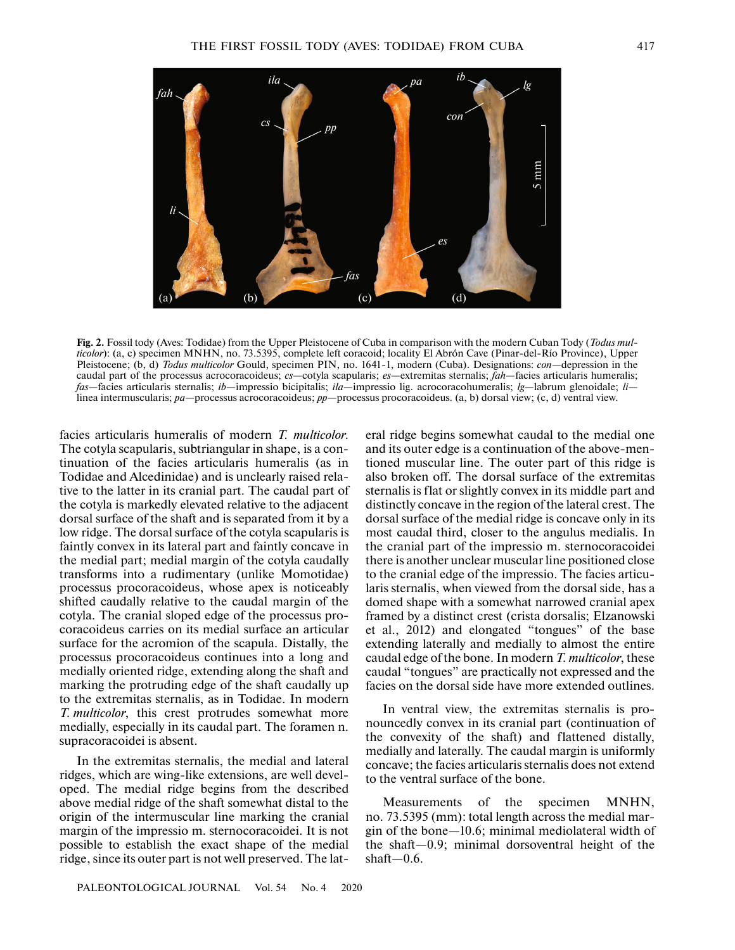

**Fig. 2.** Fossil tody (Aves: Todidae) from the Upper Pleistocene of Cuba in comparison with the modern Cuban Tody (*Todus multicolor*): (a, c) specimen MNHN, no. 73.5395, complete left coracoid; locality El Abrón Cave (Pinar-del-Río Province), Upper Pleistocene; (b, d) *Todus multicolor* Gould, specimen PIN, no. 1641-1, modern (Cuba). Designations: *con*—depression in the caudal part of the processus acrocoracoideus; *cs*—cotyla scapularis; *es*—extremitas sternalis; *fah*—facies articularis humeralis; *fas*—facies articularis sternalis; *ib*—impressio bicipitalis; *ila*—impressio lig. acrocoracohumeralis; *lg*—labrum glenoidale; *li* linea intermuscularis; *pa*—processus acrocoracoideus; *pp*—processus procoracoideus. (a, b) dorsal view; (c, d) ventral view.

facies articularis humeralis of modern *T. multicolor*. The cotyla scapularis, subtriangular in shape, is a continuation of the facies articularis humeralis (as in Todidae and Alcedinidae) and is unclearly raised relative to the latter in its cranial part. The caudal part of the cotyla is markedly elevated relative to the adjacent dorsal surface of the shaft and is separated from it by a low ridge. The dorsal surface of the cotyla scapularis is faintly convex in its lateral part and faintly concave in the medial part; medial margin of the cotyla caudally transforms into a rudimentary (unlike Momotidae) processus procoracoideus, whose apex is noticeably shifted caudally relative to the caudal margin of the cotyla. The cranial sloped edge of the processus procoracoideus carries on its medial surface an articular surface for the acromion of the scapula. Distally, the processus procoracoideus continues into a long and medially oriented ridge, extending along the shaft and marking the protruding edge of the shaft caudally up to the extremitas sternalis, as in Todidae. In modern *T. multicolor*, this crest protrudes somewhat more medially, especially in its caudal part. The foramen n. supracoracoidei is absent.

In the extremitas sternalis, the medial and lateral ridges, which are wing-like extensions, are well developed. The medial ridge begins from the described above medial ridge of the shaft somewhat distal to the origin of the intermuscular line marking the cranial margin of the impressio m. sternocoracoidei. It is not possible to establish the exact shape of the medial ridge, since its outer part is not well preserved. The lateral ridge begins somewhat caudal to the medial one and its outer edge is a continuation of the above-mentioned muscular line. The outer part of this ridge is also broken off. The dorsal surface of the extremitas sternalis is flat or slightly convex in its middle part and distinctly concave in the region of the lateral crest. The dorsal surface of the medial ridge is concave only in its most caudal third, closer to the angulus medialis. In the cranial part of the impressio m. sternocoracoidei there is another unclear muscular line positioned close to the cranial edge of the impressio. The facies articularis sternalis, when viewed from the dorsal side, has a domed shape with a somewhat narrowed cranial apex framed by a distinct crest (crista dorsalis; Elzanowski et al., 2012) and elongated "tongues" of the base extending laterally and medially to almost the entire caudal edge of the bone. In modern *T. multicolor*, these caudal "tongues" are practically not expressed and the facies on the dorsal side have more extended outlines.

In ventral view, the extremitas sternalis is pronouncedly convex in its cranial part (continuation of the convexity of the shaft) and flattened distally, medially and laterally. The caudal margin is uniformly concave; the facies articularis sternalis does not extend to the ventral surface of the bone.

Measurements of the specimen MNHN, no. 73.5395 (mm): total length across the medial margin of the bone—10.6; minimal mediolateral width of the shaft—0.9; minimal dorsoventral height of the shaft $-0.6$ .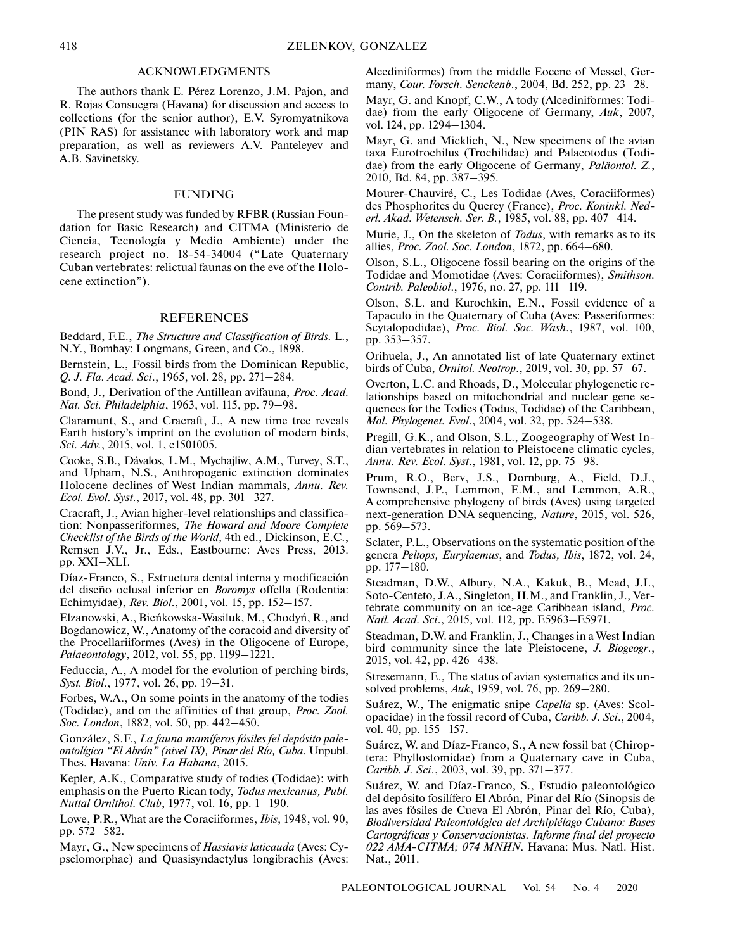#### ACKNOWLEDGMENTS

The authors thank E. Pérez Lorenzo, J.M. Pajon, and R. Rojas Consuegra (Havana) for discussion and access to collections (for the senior author), E.V. Syromyatnikova (PIN RAS) for assistance with laboratory work and map preparation, as well as reviewers A.V. Panteleyev and A.B. Savinetsky.

#### FUNDING

The present study was funded by RFBR (Russian Foundation for Basic Research) and CITMA (Ministerio de Ciencia, Tecnología y Medio Ambiente) under the research project no. 18-54-34004 ("Late Quaternary Cuban vertebrates: relictual faunas on the eve of the Holocene extinction").

### REFERENCES

Beddard, F.E., *The Structure and Classification of Birds.* L., N.Y., Bombay: Longmans, Green, and Co., 1898.

Bernstein, L., Fossil birds from the Dominican Republic, *Q. J. Fla. Acad. Sci*., 1965, vol. 28, pp. 271–284.

Bond, J., Derivation of the Antillean avifauna, *Proc. Acad. Nat. Sci. Philadelphia*, 1963, vol. 115, pp. 79–98.

Claramunt, S., and Cracraft, J., A new time tree reveals Earth history's imprint on the evolution of modern birds, *Sci. Adv.*, 2015, vol. 1, e1501005.

Cooke, S.B., Dávalos, L.M., Mychajliw, A.M., Turvey, S.T., and Upham, N.S., Anthropogenic extinction dominates Holocene declines of West Indian mammals, *Annu. Rev. Ecol. Evol. Syst*., 2017, vol. 48, pp. 301–327.

Cracraft, J., Avian higher-level relationships and classification: Nonpasseriformes, *The Howard and Moore Complete Checklist of the Birds of the World,* 4th ed., Dickinson, E.C., Remsen J.V., Jr., Eds., Eastbourne: Aves Press, 2013. pp. XXI–XLI.

Díaz-Franco, S., Estructura dental interna y modificación del diseño oclusal inferior en *Boromys* offella (Rodentia: Echimyidae), *Rev. Biol*., 2001, vol. 15, pp. 152–157.

Elzanowski, A., Bieńkowska-Wasiluk, M., Chodyń, R., and Bogdanowicz, W., Anatomy of the coracoid and diversity of the Procellariiformes (Aves) in the Oligocene of Europe, *Palaeontology*, 2012, vol. 55, pp. 1199–1221.

Feduccia, A., A model for the evolution of perching birds, *Syst. Biol*., 1977, vol. 26, pp. 19–31.

Forbes, W.A., On some points in the anatomy of the todies (Todidae), and on the affinities of that group, *Proc. Zool. Soc. London*, 1882, vol. 50, pp. 442–450.

González, S.F., *La fauna mamíferos fósiles fel depósito paleontolígico "El Abrón" (nivel IX), Pinar del Río, Cuba*. Unpubl. Thes. Havana: *Univ. La Habana*, 2015.

Kepler, A.K., Comparative study of todies (Todidae): with emphasis on the Puerto Rican tody, *Todus mexicanus, Publ. Nuttal Ornithol. Club*, 1977, vol. 16, pp. 1–190.

Lowe, P.R., What are the Coraciiformes, *Ibis*, 1948, vol. 90, pp. 572–582.

Mayr, G., New specimens of *Hassiavis laticauda* (Aves: Cypselomorphae) and Quasisyndactylus longibrachis (Aves: Alcediniformes) from the middle Eocene of Messel, Germany, *Cour. Forsch. Senckenb*., 2004, Bd. 252, pp. 23–28.

Mayr, G. and Knopf, C.W., A tody (Alcediniformes: Todidae) from the early Oligocene of Germany, *Auk*, 2007, vol. 124, pp. 1294–1304.

Mayr, G. and Micklich, N., New specimens of the avian taxa Eurotrochilus (Trochilidae) and Palaeotodus (Todidae) from the early Oligocene of Germany, *Paläontol. Z.*, 2010, Bd. 84, pp. 387–395.

Mourer-Chauviré, C., Les Todidae (Aves, Coraciiformes) des Phosphorites du Quercy (France), *Proc. Koninkl. Nederl. Akad. Wetensch. Ser. B.*, 1985, vol. 88, pp. 407–414.

Murie, J., On the skeleton of *Todus*, with remarks as to its allies, *Proc. Zool. Soc. London*, 1872, pp. 664–680.

Olson, S.L., Oligocene fossil bearing on the origins of the Todidae and Momotidae (Aves: Coraciiformes), *Smithson. Contrib. Paleobiol*., 1976, no. 27, pp. 111–119.

Olson, S.L. and Kurochkin, E.N., Fossil evidence of a Tapaculo in the Quaternary of Cuba (Aves: Passeriformes: Scytalopodidae), *Proc. Biol. Soc. Wash*., 1987, vol. 100, pp. 353–357.

Orihuela, J., An annotated list of late Quaternary extinct birds of Cuba, *Ornitol. Neotrop*., 2019, vol. 30, pp. 57–67.

Overton, L.C. and Rhoads, D., Molecular phylogenetic relationships based on mitochondrial and nuclear gene sequences for the Todies (Todus, Todidae) of the Caribbean, *Mol. Phylogenet. Evol*., 2004, vol. 32, pp. 524–538.

Pregill, G.K., and Olson, S.L., Zoogeography of West Indian vertebrates in relation to Pleistocene climatic cycles, *Annu. Rev. Ecol. Syst*., 1981, vol. 12, pp. 75–98.

Prum, R.O., Berv, J.S., Dornburg, A., Field, D.J., Townsend, J.P., Lemmon, E.M., and Lemmon, A.R., A comprehensive phylogeny of birds (Aves) using targeted next-generation DNA sequencing, *Nature*, 2015, vol. 526, pp. 569–573.

Sclater, P.L., Observations on the systematic position of the genera *Peltops, Eurylaemus*, and *Todus, Ibis*, 1872, vol. 24, pp. 177–180.

Steadman, D.W., Albury, N.A., Kakuk, B., Mead, J.I., Soto-Centeto, J.A., Singleton, H.M., and Franklin, J., Vertebrate community on an ice-age Caribbean island, *Proc. Natl. Acad. Sci*., 2015, vol. 112, pp. E5963–E5971.

Steadman, D.W. and Franklin, J., Changes in a West Indian bird community since the late Pleistocene, *J. Biogeogr*., 2015, vol. 42, pp. 426–438.

Stresemann, E., The status of avian systematics and its unsolved problems, *Auk*, 1959, vol. 76, pp. 269–280.

Suárez, W., The enigmatic snipe *Capella* sp. (Aves: Scolopacidae) in the fossil record of Cuba, *Caribb. J. Sci*., 2004, vol. 40, pp. 155–157.

Suárez, W. and Díaz-Franco, S., A new fossil bat (Chiroptera: Phyllostomidae) from a Quaternary cave in Cuba, *Caribb. J. Sci*., 2003, vol. 39, pp. 371–377.

Suárez, W. and Díaz-Franco, S., Estudio paleontológico del depósito fosilífero El Abrón, Pinar del Río (Sinopsis de las aves fósiles de Cueva El Abrón, Pinar del Río, Cuba), *Biodiversidad Paleontológica del Archipiélago Cubano: Bases Cartográficas y Conservacionistas. Informe final del proyecto 022 AMA-CITMA; 074 MNHN*. Havana: Mus. Natl. Hist. Nat., 2011.